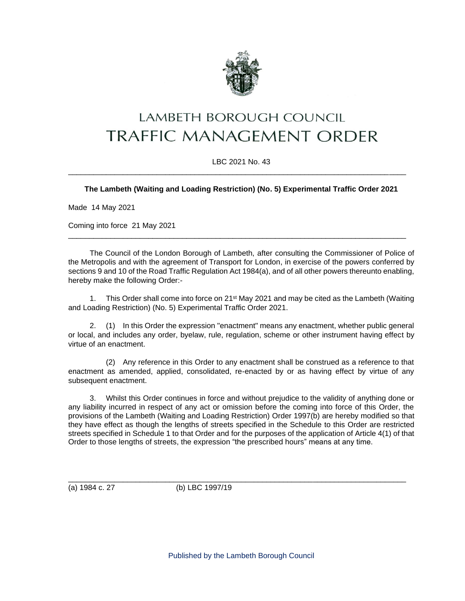

# **LAMBETH BOROUGH COUNCIL TRAFFIC MANAGEMENT ORDER**

## LBC 2021 No. 43 \_\_\_\_\_\_\_\_\_\_\_\_\_\_\_\_\_\_\_\_\_\_\_\_\_\_\_\_\_\_\_\_\_\_\_\_\_\_\_\_\_\_\_\_\_\_\_\_\_\_\_\_\_\_\_\_\_\_\_\_\_\_\_\_\_\_\_\_\_\_\_\_\_\_\_\_\_\_\_\_

## **The Lambeth (Waiting and Loading Restriction) (No. 5) Experimental Traffic Order 2021**

Made 14 May 2021

Coming into force 21 May 2021

The Council of the London Borough of Lambeth, after consulting the Commissioner of Police of the Metropolis and with the agreement of Transport for London, in exercise of the powers conferred by sections 9 and 10 of the Road Traffic Regulation Act 1984(a), and of all other powers thereunto enabling, hereby make the following Order:-

\_\_\_\_\_\_\_\_\_\_\_\_\_\_\_\_\_\_\_\_\_\_\_\_\_\_\_\_\_\_\_\_\_\_\_\_\_\_\_\_\_\_\_\_\_\_\_\_\_\_\_\_\_\_\_\_\_\_\_\_\_\_\_\_\_\_\_\_\_\_\_\_\_\_\_\_\_\_\_\_

1. This Order shall come into force on  $21<sup>st</sup>$  May 2021 and may be cited as the Lambeth (Waiting and Loading Restriction) (No. 5) Experimental Traffic Order 2021.

2. (1) In this Order the expression "enactment" means any enactment, whether public general or local, and includes any order, byelaw, rule, regulation, scheme or other instrument having effect by virtue of an enactment.

(2) Any reference in this Order to any enactment shall be construed as a reference to that enactment as amended, applied, consolidated, re-enacted by or as having effect by virtue of any subsequent enactment.

3. Whilst this Order continues in force and without prejudice to the validity of anything done or any liability incurred in respect of any act or omission before the coming into force of this Order, the provisions of the Lambeth (Waiting and Loading Restriction) Order 1997(b) are hereby modified so that they have effect as though the lengths of streets specified in the Schedule to this Order are restricted streets specified in Schedule 1 to that Order and for the purposes of the application of Article 4(1) of that Order to those lengths of streets, the expression "the prescribed hours" means at any time.

\_\_\_\_\_\_\_\_\_\_\_\_\_\_\_\_\_\_\_\_\_\_\_\_\_\_\_\_\_\_\_\_\_\_\_\_\_\_\_\_\_\_\_\_\_\_\_\_\_\_\_\_\_\_\_\_\_\_\_\_\_\_\_\_\_\_\_\_\_\_\_\_\_\_\_\_\_\_\_\_

(a) 1984 c. 27 (b) LBC 1997/19

Published by the Lambeth Borough Council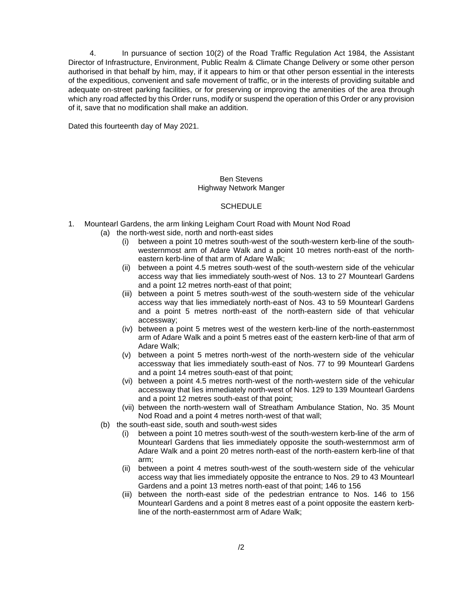4. In pursuance of section 10(2) of the Road Traffic Regulation Act 1984, the Assistant Director of Infrastructure, Environment, Public Realm & Climate Change Delivery or some other person authorised in that behalf by him, may, if it appears to him or that other person essential in the interests of the expeditious, convenient and safe movement of traffic, or in the interests of providing suitable and adequate on-street parking facilities, or for preserving or improving the amenities of the area through which any road affected by this Order runs, modify or suspend the operation of this Order or any provision of it, save that no modification shall make an addition.

Dated this fourteenth day of May 2021.

### Ben Stevens Highway Network Manger

#### **SCHEDULE**

- 1. Mountearl Gardens, the arm linking Leigham Court Road with Mount Nod Road
	- (a) the north-west side, north and north-east sides
		- (i) between a point 10 metres south-west of the south-western kerb-line of the southwesternmost arm of Adare Walk and a point 10 metres north-east of the northeastern kerb-line of that arm of Adare Walk;
		- (ii) between a point 4.5 metres south-west of the south-western side of the vehicular access way that lies immediately south-west of Nos. 13 to 27 Mountearl Gardens and a point 12 metres north-east of that point;
		- (iii) between a point 5 metres south-west of the south-western side of the vehicular access way that lies immediately north-east of Nos. 43 to 59 Mountearl Gardens and a point 5 metres north-east of the north-eastern side of that vehicular accessway;
		- (iv) between a point 5 metres west of the western kerb-line of the north-easternmost arm of Adare Walk and a point 5 metres east of the eastern kerb-line of that arm of Adare Walk;
		- (v) between a point 5 metres north-west of the north-western side of the vehicular accessway that lies immediately south-east of Nos. 77 to 99 Mountearl Gardens and a point 14 metres south-east of that point;
		- (vi) between a point 4.5 metres north-west of the north-western side of the vehicular accessway that lies immediately north-west of Nos. 129 to 139 Mountearl Gardens and a point 12 metres south-east of that point;
		- (vii) between the north-western wall of Streatham Ambulance Station, No. 35 Mount Nod Road and a point 4 metres north-west of that wall;
	- (b) the south-east side, south and south-west sides
		- (i) between a point 10 metres south-west of the south-western kerb-line of the arm of Mountearl Gardens that lies immediately opposite the south-westernmost arm of Adare Walk and a point 20 metres north-east of the north-eastern kerb-line of that arm;
		- (ii) between a point 4 metres south-west of the south-western side of the vehicular access way that lies immediately opposite the entrance to Nos. 29 to 43 Mountearl Gardens and a point 13 metres north-east of that point; 146 to 156
		- (iii) between the north-east side of the pedestrian entrance to Nos. 146 to 156 Mountearl Gardens and a point 8 metres east of a point opposite the eastern kerbline of the north-easternmost arm of Adare Walk;